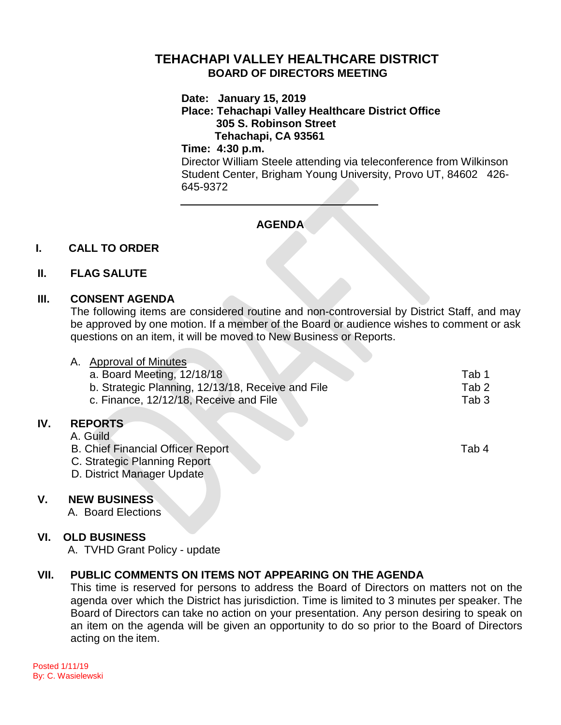# **TEHACHAPI VALLEY HEALTHCARE DISTRICT BOARD OF DIRECTORS MEETING**

**Date: January 15, 2019**

# **Place: Tehachapi Valley Healthcare District Office 305 S. Robinson Street Tehachapi, CA 93561**

#### **Time: 4:30 p.m.**

Director William Steele attending via teleconference from Wilkinson Student Center, Brigham Young University, Provo UT, 84602 426- 645-9372

# **AGENDA**

# **I. CALL TO ORDER**

# **II. FLAG SALUTE**

### **III. CONSENT AGENDA**

The following items are considered routine and non-controversial by District Staff, and may be approved by one motion. If a member of the Board or audience wishes to comment or ask questions on an item, it will be moved to New Business or Reports.

|     | <b>Approval of Minutes</b><br>Α.                                        |                  |
|-----|-------------------------------------------------------------------------|------------------|
|     | a. Board Meeting, 12/18/18                                              | Tab 1            |
|     | b. Strategic Planning, 12/13/18, Receive and File                       | Tab <sub>2</sub> |
|     | c. Finance, 12/12/18, Receive and File                                  | Tab <sub>3</sub> |
| IV. | <b>REPORTS</b><br>A. Guild<br><b>B. Chief Financial Officer Report.</b> | Tab 4            |
|     | C. Strategic Planning Report<br>D. District Manager Update              |                  |

### **V. NEW BUSINESS**

**IV.** 

A. Board Elections

### **VI. OLD BUSINESS**

A. TVHD Grant Policy - update

# **VII. PUBLIC COMMENTS ON ITEMS NOT APPEARING ON THE AGENDA**

This time is reserved for persons to address the Board of Directors on matters not on the agenda over which the District has jurisdiction. Time is limited to 3 minutes per speaker. The Board of Directors can take no action on your presentation. Any person desiring to speak on an item on the agenda will be given an opportunity to do so prior to the Board of Directors acting on the item.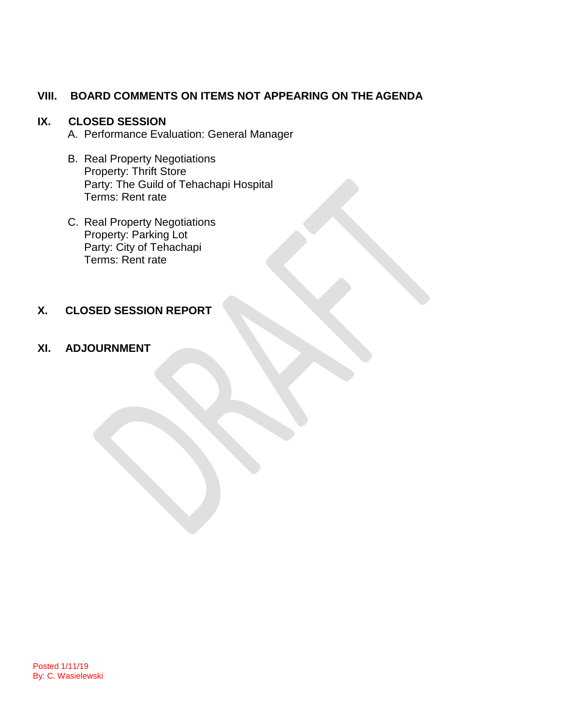## **VIII. BOARD COMMENTS ON ITEMS NOT APPEARING ON THE AGENDA**

### **IX. CLOSED SESSION**

- A. Performance Evaluation: General Manager
- B. Real Property Negotiations Property: Thrift Store Party: The Guild of Tehachapi Hospital Terms: Rent rate
- C. Real Property Negotiations Property: Parking Lot Party: City of Tehachapi Terms: Rent rate

# **X. CLOSED SESSION REPORT**

#### **XI. ADJOURNMENT**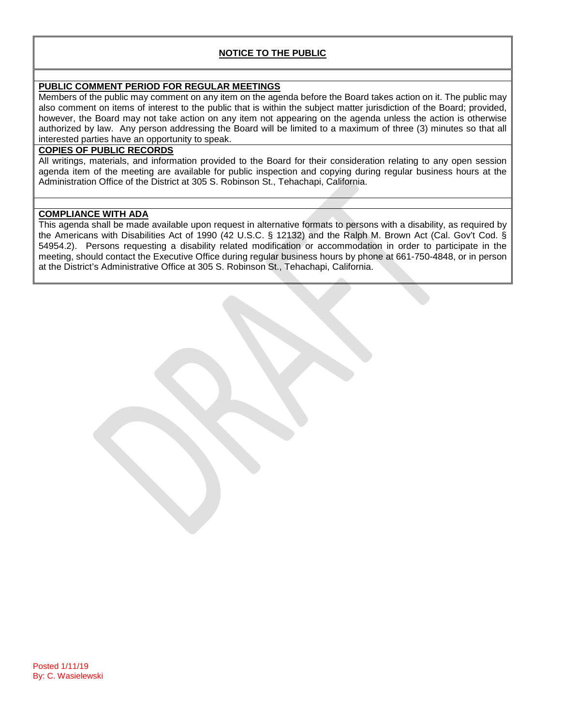#### **NOTICE TO THE PUBLIC**

#### **PUBLIC COMMENT PERIOD FOR REGULAR MEETINGS**

Members of the public may comment on any item on the agenda before the Board takes action on it. The public may also comment on items of interest to the public that is within the subject matter jurisdiction of the Board; provided, however, the Board may not take action on any item not appearing on the agenda unless the action is otherwise authorized by law. Any person addressing the Board will be limited to a maximum of three (3) minutes so that all interested parties have an opportunity to speak.

#### **COPIES OF PUBLIC RECORDS**

All writings, materials, and information provided to the Board for their consideration relating to any open session agenda item of the meeting are available for public inspection and copying during regular business hours at the Administration Office of the District at 305 S. Robinson St., Tehachapi, California.

#### **COMPLIANCE WITH ADA**

This agenda shall be made available upon request in alternative formats to persons with a disability, as required by the Americans with Disabilities Act of 1990 (42 U.S.C. § 12132) and the Ralph M. Brown Act (Cal. Gov't Cod. § 54954.2). Persons requesting a disability related modification or accommodation in order to participate in the meeting, should contact the Executive Office during regular business hours by phone at 661-750-4848, or in person at the District's Administrative Office at 305 S. Robinson St., Tehachapi, California.